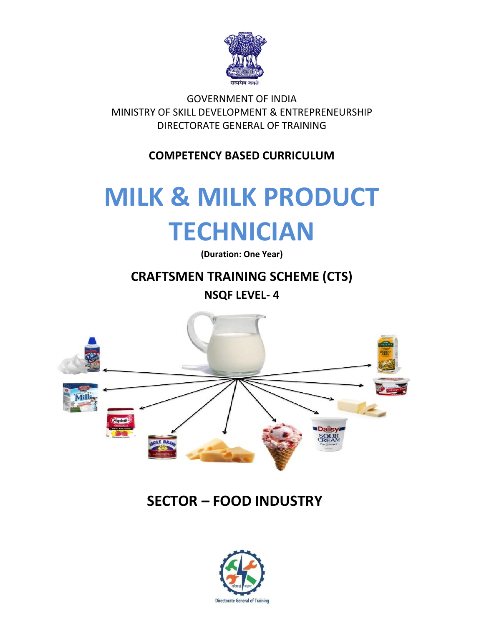

GOVERNMENT OF INDIA MINISTRY OF SKILL DEVELOPMENT & ENTREPRENEURSHIP DIRECTORATE GENERAL OF TRAINING

**COMPETENCY BASED CURRICULUM**

# **MILK & MILK PRODUCT TECHNICIAN**

**(Duration: One Year)**

### **CRAFTSMEN TRAINING SCHEME (CTS)**

**NSQF LEVEL- 4**



## **SECTOR – FOOD INDUSTRY**

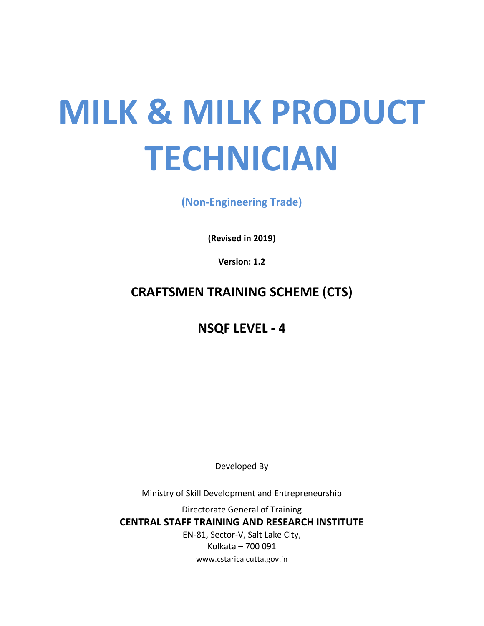# **MILK & MILK PRODUCT TECHNICIAN**

**(Non-Engineering Trade)**

**(Revised in 2019)**

**Version: 1.2**

**CRAFTSMEN TRAINING SCHEME (CTS)**

**NSQF LEVEL - 4**

Developed By

Ministry of Skill Development and Entrepreneurship

Directorate General of Training **CENTRAL STAFF TRAINING AND RESEARCH INSTITUTE** EN-81, Sector-V, Salt Lake City, Kolkata – 700 091 www.cstaricalcutta.gov.in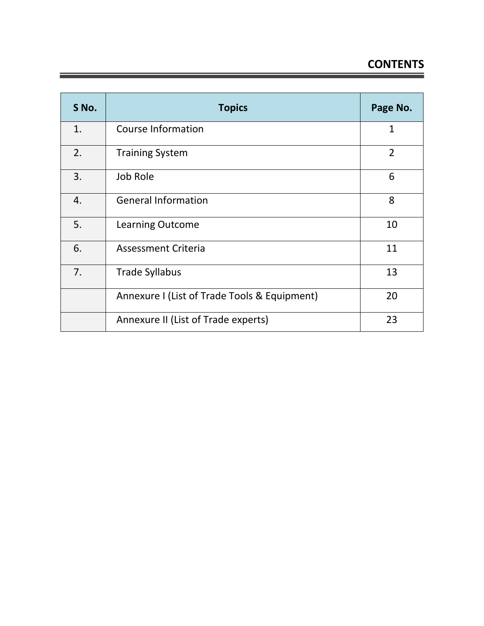#### **CONTENTS**

| S No. | <b>Topics</b>                                | Page No.       |
|-------|----------------------------------------------|----------------|
| 1.    | <b>Course Information</b>                    | $\mathbf{1}$   |
| 2.    | <b>Training System</b>                       | $\overline{2}$ |
| 3.    | Job Role                                     | 6              |
| 4.    | <b>General Information</b>                   | 8              |
| 5.    | <b>Learning Outcome</b>                      | 10             |
| 6.    | <b>Assessment Criteria</b>                   | 11             |
| 7.    | <b>Trade Syllabus</b>                        | 13             |
|       | Annexure I (List of Trade Tools & Equipment) | 20             |
|       | Annexure II (List of Trade experts)          | 23             |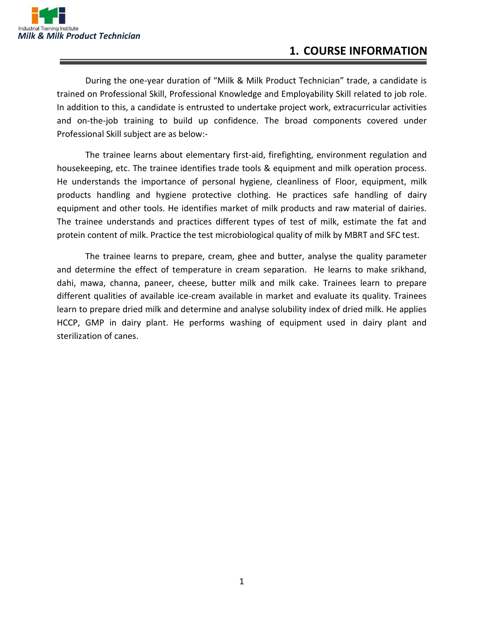

#### **1. COURSE INFORMATION**

During the one-year duration of "Milk & Milk Product Technician" trade, a candidate is trained on Professional Skill, Professional Knowledge and Employability Skill related to job role. In addition to this, a candidate is entrusted to undertake project work, extracurricular activities and on-the-job training to build up confidence. The broad components covered under Professional Skill subject are as below:-

The trainee learns about elementary first-aid, firefighting, environment regulation and housekeeping, etc. The trainee identifies trade tools & equipment and milk operation process. He understands the importance of personal hygiene, cleanliness of Floor, equipment, milk products handling and hygiene protective clothing. He practices safe handling of dairy equipment and other tools. He identifies market of milk products and raw material of dairies. The trainee understands and practices different types of test of milk, estimate the fat and protein content of milk. Practice the test microbiological quality of milk by MBRT and SFC test.

The trainee learns to prepare, cream, ghee and butter, analyse the quality parameter and determine the effect of temperature in cream separation. He learns to make srikhand, dahi, mawa, channa, paneer, cheese, butter milk and milk cake. Trainees learn to prepare different qualities of available ice-cream available in market and evaluate its quality. Trainees learn to prepare dried milk and determine and analyse solubility index of dried milk. He applies HCCP, GMP in dairy plant. He performs washing of equipment used in dairy plant and sterilization of canes.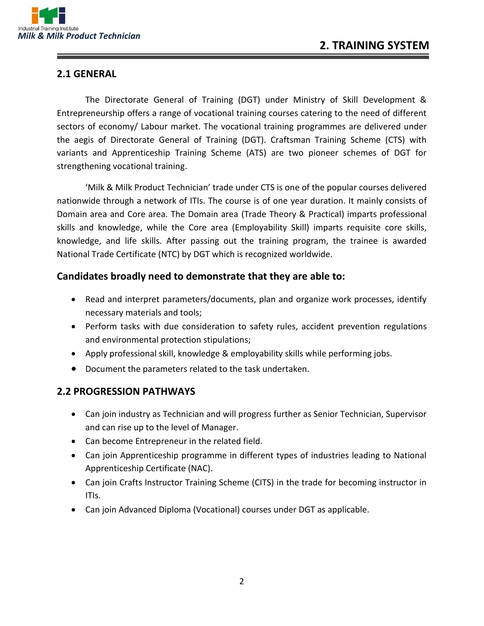

#### **2.1 GENERAL**

The Directorate General of Training (DGT) under Ministry of Skill Development & Entrepreneurship offers a range of vocational training courses catering to the need of different sectors of economy/ Labour market. The vocational training programmes are delivered under the aegis of Directorate General of Training (DGT). Craftsman Training Scheme (CTS) with variants and Apprenticeship Training Scheme (ATS) are two pioneer schemes of DGT for strengthening vocational training.

'Milk & Milk Product Technician' trade under CTS is one of the popular courses delivered nationwide through a network of ITIs. The course is of one year duration. It mainly consists of Domain area and Core area. The Domain area (Trade Theory & Practical) imparts professional skills and knowledge, while the Core area (Employability Skill) imparts requisite core skills, knowledge, and life skills. After passing out the training program, the trainee is awarded National Trade Certificate (NTC) by DGT which is recognized worldwide.

#### **Candidates broadly need to demonstrate that they are able to:**

- Read and interpret parameters/documents, plan and organize work processes, identify necessary materials and tools;
- Perform tasks with due consideration to safety rules, accident prevention regulations and environmental protection stipulations;
- Apply professional skill, knowledge & employability skills while performing jobs.
- Document the parameters related to the task undertaken.

#### **2.2 PROGRESSION PATHWAYS**

- Can join industry as Technician and will progress further as Senior Technician, Supervisor and can rise up to the level of Manager.
- Can become Entrepreneur in the related field.
- Can join Apprenticeship programme in different types of industries leading to National Apprenticeship Certificate (NAC).
- Can join Crafts Instructor Training Scheme (CITS) in the trade for becoming instructor in ITIs.
- Can join Advanced Diploma (Vocational) courses under DGT as applicable.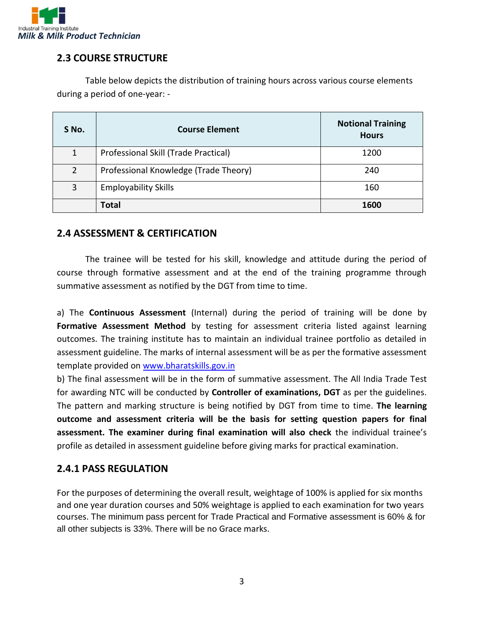

#### **2.3 COURSE STRUCTURE**

Table below depicts the distribution of training hours across various course elements during a period of one-year: -

| S No.          | <b>Course Element</b>                 | <b>Notional Training</b><br><b>Hours</b> |
|----------------|---------------------------------------|------------------------------------------|
| $\mathbf{1}$   | Professional Skill (Trade Practical)  | 1200                                     |
| $\overline{2}$ | Professional Knowledge (Trade Theory) | 240                                      |
| 3              | <b>Employability Skills</b>           | 160                                      |
|                | Total                                 | 1600                                     |

#### **2.4 ASSESSMENT & CERTIFICATION**

The trainee will be tested for his skill, knowledge and attitude during the period of course through formative assessment and at the end of the training programme through summative assessment as notified by the DGT from time to time.

a) The **Continuous Assessment** (Internal) during the period of training will be done by Formative Assessment Method by testing for assessment criteria listed against learning outcomes. The training institute has to maintain an individual trainee portfolio as detailed in assessment guideline. The marks of internal assessment will be as per the formative assessment template provided on [www.bharatskills.gov.in](http://www.bharatskills.gov.in/)

b) The final assessment will be in the form of summative assessment. The All India Trade Test for awarding NTC will be conducted by **Controller of examinations, DGT** as per the guidelines. The pattern and marking structure is being notified by DGT from time to time. **The learning outcome and assessment criteria will be the basis for setting question papers for final assessment. The examiner during final examination will also check** the individual trainee's profile as detailed in assessment guideline before giving marks for practical examination.

#### **2.4.1 PASS REGULATION**

For the purposes of determining the overall result, weightage of 100% is applied for six months and one year duration courses and 50% weightage is applied to each examination for two years courses. The minimum pass percent for Trade Practical and Formative assessment is 60% & for all other subjects is 33%. There will be no Grace marks.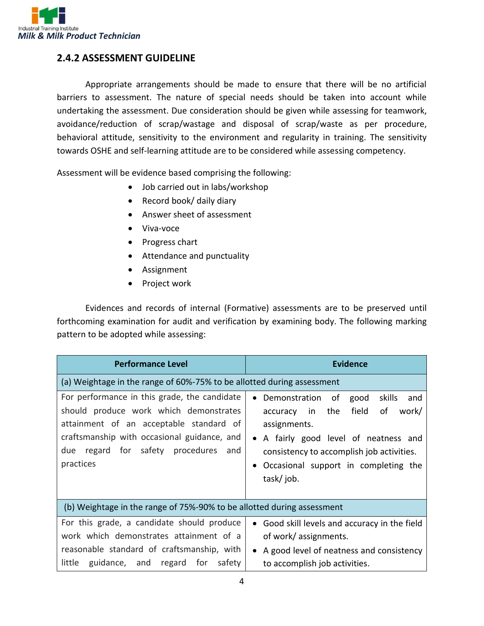

#### **2.4.2 ASSESSMENT GUIDELINE**

Appropriate arrangements should be made to ensure that there will be no artificial barriers to assessment. The nature of special needs should be taken into account while undertaking the assessment. Due consideration should be given while assessing for teamwork, avoidance/reduction of scrap/wastage and disposal of scrap/waste as per procedure, behavioral attitude, sensitivity to the environment and regularity in training. The sensitivity towards OSHE and self-learning attitude are to be considered while assessing competency.

Assessment will be evidence based comprising the following:

- Job carried out in labs/workshop
- Record book/ daily diary
- Answer sheet of assessment
- Viva-voce
- Progress chart
- Attendance and punctuality
- Assignment
- Project work

Evidences and records of internal (Formative) assessments are to be preserved until forthcoming examination for audit and verification by examining body. The following marking pattern to be adopted while assessing:

| <b>Performance Level</b>                                                                                                                                                                                                                 | <b>Evidence</b>                                                                                                                                                                                                                               |  |  |  |
|------------------------------------------------------------------------------------------------------------------------------------------------------------------------------------------------------------------------------------------|-----------------------------------------------------------------------------------------------------------------------------------------------------------------------------------------------------------------------------------------------|--|--|--|
| (a) Weightage in the range of 60%-75% to be allotted during assessment                                                                                                                                                                   |                                                                                                                                                                                                                                               |  |  |  |
| For performance in this grade, the candidate<br>should produce work which demonstrates<br>attainment of an acceptable standard of<br>craftsmanship with occasional guidance, and<br>due regard for safety procedures<br>and<br>practices | skills<br>Demonstration of<br>good<br>and<br>field<br>work/<br>accuracy in the<br>of<br>assignments.<br>A fairly good level of neatness and<br>consistency to accomplish job activities.<br>Occasional support in completing the<br>task/job. |  |  |  |
| (b) Weightage in the range of 75%-90% to be allotted during assessment                                                                                                                                                                   |                                                                                                                                                                                                                                               |  |  |  |
| For this grade, a candidate should produce<br>work which demonstrates attainment of a<br>reasonable standard of craftsmanship, with<br>guidance, and regard for<br>little<br>safety                                                      | • Good skill levels and accuracy in the field<br>of work/ assignments.<br>A good level of neatness and consistency<br>to accomplish job activities.                                                                                           |  |  |  |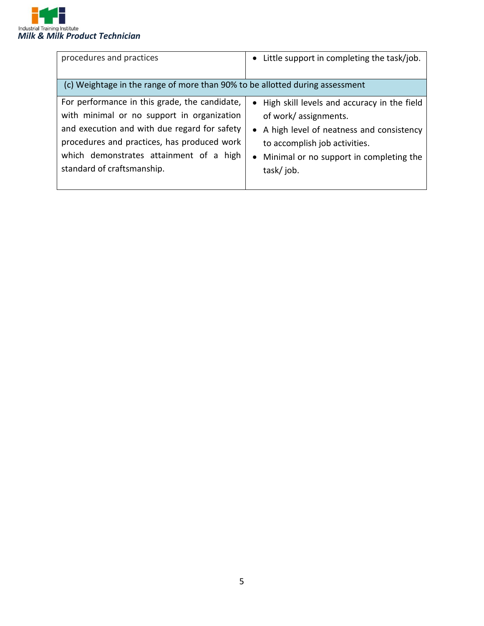

| procedures and practices                                                                                                                                                                                                                                            | Little support in completing the task/job.<br>$\bullet$                                                                                                                                                      |
|---------------------------------------------------------------------------------------------------------------------------------------------------------------------------------------------------------------------------------------------------------------------|--------------------------------------------------------------------------------------------------------------------------------------------------------------------------------------------------------------|
| (c) Weightage in the range of more than 90% to be allotted during assessment                                                                                                                                                                                        |                                                                                                                                                                                                              |
| For performance in this grade, the candidate,<br>with minimal or no support in organization<br>and execution and with due regard for safety<br>procedures and practices, has produced work<br>which demonstrates attainment of a high<br>standard of craftsmanship. | • High skill levels and accuracy in the field<br>of work/assignments.<br>• A high level of neatness and consistency<br>to accomplish job activities.<br>Minimal or no support in completing the<br>task/job. |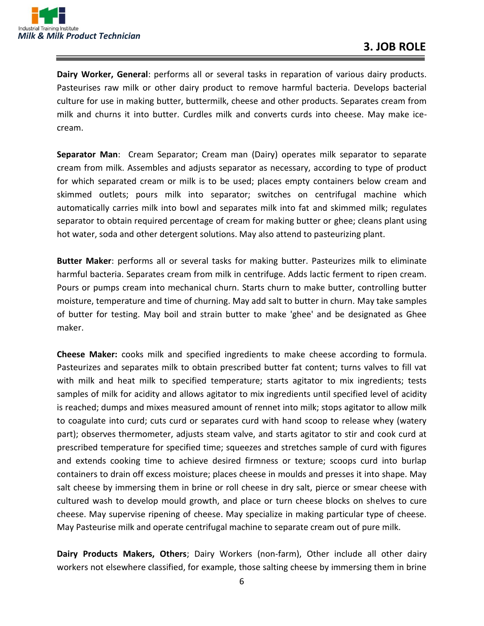

**Dairy Worker, General**: performs all or several tasks in reparation of various dairy products. Pasteurises raw milk or other dairy product to remove harmful bacteria. Develops bacterial culture for use in making butter, buttermilk, cheese and other products. Separates cream from milk and churns it into butter. Curdles milk and converts curds into cheese. May make icecream.

**Separator Man**: Cream Separator; Cream man (Dairy) operates milk separator to separate cream from milk. Assembles and adjusts separator as necessary, according to type of product for which separated cream or milk is to be used; places empty containers below cream and skimmed outlets; pours milk into separator; switches on centrifugal machine which automatically carries milk into bowl and separates milk into fat and skimmed milk; regulates separator to obtain required percentage of cream for making butter or ghee; cleans plant using hot water, soda and other detergent solutions. May also attend to pasteurizing plant.

**Butter Maker**: performs all or several tasks for making butter. Pasteurizes milk to eliminate harmful bacteria. Separates cream from milk in centrifuge. Adds lactic ferment to ripen cream. Pours or pumps cream into mechanical churn. Starts churn to make butter, controlling butter moisture, temperature and time of churning. May add salt to butter in churn. May take samples of butter for testing. May boil and strain butter to make 'ghee' and be designated as Ghee maker.

**Cheese Maker:** cooks milk and specified ingredients to make cheese according to formula. Pasteurizes and separates milk to obtain prescribed butter fat content; turns valves to fill vat with milk and heat milk to specified temperature; starts agitator to mix ingredients; tests samples of milk for acidity and allows agitator to mix ingredients until specified level of acidity is reached; dumps and mixes measured amount of rennet into milk; stops agitator to allow milk to coagulate into curd; cuts curd or separates curd with hand scoop to release whey (watery part); observes thermometer, adjusts steam valve, and starts agitator to stir and cook curd at prescribed temperature for specified time; squeezes and stretches sample of curd with figures and extends cooking time to achieve desired firmness or texture; scoops curd into burlap containers to drain off excess moisture; places cheese in moulds and presses it into shape. May salt cheese by immersing them in brine or roll cheese in dry salt, pierce or smear cheese with cultured wash to develop mould growth, and place or turn cheese blocks on shelves to cure cheese. May supervise ripening of cheese. May specialize in making particular type of cheese. May Pasteurise milk and operate centrifugal machine to separate cream out of pure milk.

**Dairy Products Makers, Others**; Dairy Workers (non-farm), Other include all other dairy workers not elsewhere classified, for example, those salting cheese by immersing them in brine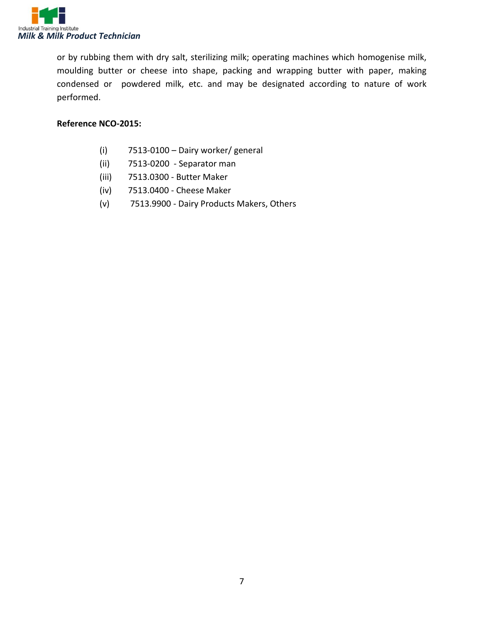

or by rubbing them with dry salt, sterilizing milk; operating machines which homogenise milk, moulding butter or cheese into shape, packing and wrapping butter with paper, making condensed or powdered milk, etc. and may be designated according to nature of work performed.

#### **Reference NCO-2015:**

- (i) 7513-0100 Dairy worker/ general
- (ii) 7513-0200 Separator man
- (iii) 7513.0300 Butter Maker
- (iv) 7513.0400 Cheese Maker
- (v) 7513.9900 Dairy Products Makers, Others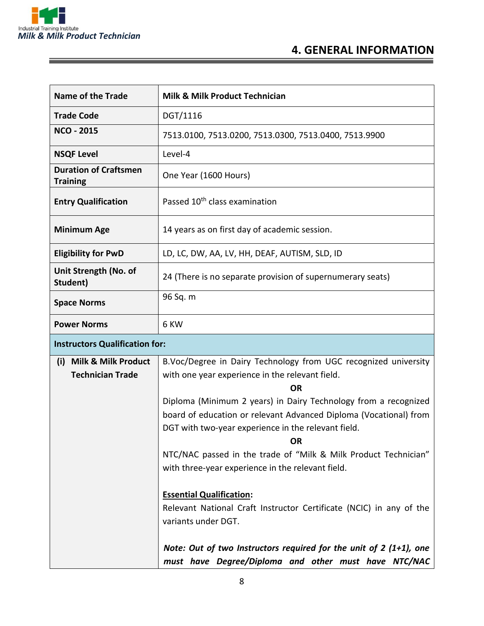

| <b>Name of the Trade</b>                                         | <b>Milk &amp; Milk Product Technician</b>                                                                                                                                                                                                                                                                                                                                                                                                                                                                                                                                                                                                                                                                                     |  |  |  |
|------------------------------------------------------------------|-------------------------------------------------------------------------------------------------------------------------------------------------------------------------------------------------------------------------------------------------------------------------------------------------------------------------------------------------------------------------------------------------------------------------------------------------------------------------------------------------------------------------------------------------------------------------------------------------------------------------------------------------------------------------------------------------------------------------------|--|--|--|
| <b>Trade Code</b>                                                | DGT/1116                                                                                                                                                                                                                                                                                                                                                                                                                                                                                                                                                                                                                                                                                                                      |  |  |  |
| <b>NCO - 2015</b>                                                | 7513.0100, 7513.0200, 7513.0300, 7513.0400, 7513.9900                                                                                                                                                                                                                                                                                                                                                                                                                                                                                                                                                                                                                                                                         |  |  |  |
| <b>NSQF Level</b>                                                | Level-4                                                                                                                                                                                                                                                                                                                                                                                                                                                                                                                                                                                                                                                                                                                       |  |  |  |
| <b>Duration of Craftsmen</b><br><b>Training</b>                  | One Year (1600 Hours)                                                                                                                                                                                                                                                                                                                                                                                                                                                                                                                                                                                                                                                                                                         |  |  |  |
| <b>Entry Qualification</b>                                       | Passed 10 <sup>th</sup> class examination                                                                                                                                                                                                                                                                                                                                                                                                                                                                                                                                                                                                                                                                                     |  |  |  |
| <b>Minimum Age</b>                                               | 14 years as on first day of academic session.                                                                                                                                                                                                                                                                                                                                                                                                                                                                                                                                                                                                                                                                                 |  |  |  |
| <b>Eligibility for PwD</b>                                       | LD, LC, DW, AA, LV, HH, DEAF, AUTISM, SLD, ID                                                                                                                                                                                                                                                                                                                                                                                                                                                                                                                                                                                                                                                                                 |  |  |  |
| Unit Strength (No. of<br>Student)                                | 24 (There is no separate provision of supernumerary seats)                                                                                                                                                                                                                                                                                                                                                                                                                                                                                                                                                                                                                                                                    |  |  |  |
| <b>Space Norms</b>                                               | 96 Sq. m                                                                                                                                                                                                                                                                                                                                                                                                                                                                                                                                                                                                                                                                                                                      |  |  |  |
| <b>Power Norms</b>                                               | 6 KW                                                                                                                                                                                                                                                                                                                                                                                                                                                                                                                                                                                                                                                                                                                          |  |  |  |
| <b>Instructors Qualification for:</b>                            |                                                                                                                                                                                                                                                                                                                                                                                                                                                                                                                                                                                                                                                                                                                               |  |  |  |
| <b>Milk &amp; Milk Product</b><br>(i)<br><b>Technician Trade</b> | B.Voc/Degree in Dairy Technology from UGC recognized university<br>with one year experience in the relevant field.<br><b>OR</b><br>Diploma (Minimum 2 years) in Dairy Technology from a recognized<br>board of education or relevant Advanced Diploma (Vocational) from<br>DGT with two-year experience in the relevant field.<br>ОR<br>NTC/NAC passed in the trade of "Milk & Milk Product Technician"<br>with three-year experience in the relevant field.<br><b>Essential Qualification:</b><br>Relevant National Craft Instructor Certificate (NCIC) in any of the<br>variants under DGT.<br>Note: Out of two Instructors required for the unit of $2(1+1)$ , one<br>must have Degree/Diploma and other must have NTC/NAC |  |  |  |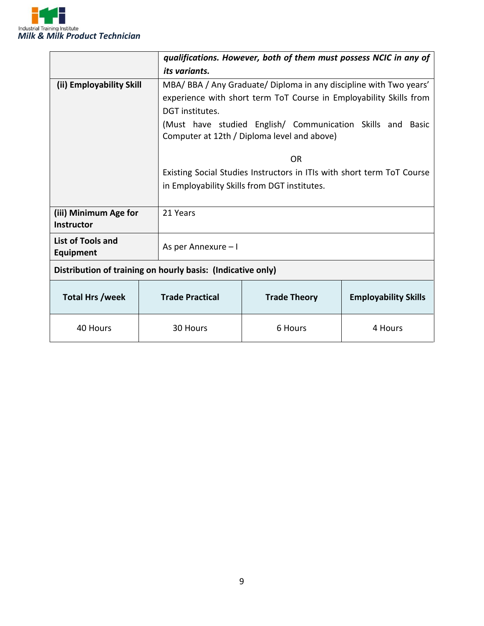

|                                                             |  | qualifications. However, both of them must possess NCIC in any of      |                                                                    |                             |  |
|-------------------------------------------------------------|--|------------------------------------------------------------------------|--------------------------------------------------------------------|-----------------------------|--|
|                                                             |  | its variants.                                                          |                                                                    |                             |  |
| (ii) Employability Skill                                    |  |                                                                        | MBA/BBA/Any Graduate/Diploma in any discipline with Two years'     |                             |  |
|                                                             |  |                                                                        | experience with short term ToT Course in Employability Skills from |                             |  |
|                                                             |  | DGT institutes.                                                        |                                                                    |                             |  |
|                                                             |  |                                                                        | (Must have studied English/ Communication Skills and Basic         |                             |  |
|                                                             |  |                                                                        | Computer at 12th / Diploma level and above)                        |                             |  |
|                                                             |  |                                                                        |                                                                    |                             |  |
|                                                             |  |                                                                        | 0 <sub>R</sub>                                                     |                             |  |
|                                                             |  | Existing Social Studies Instructors in ITIs with short term ToT Course |                                                                    |                             |  |
|                                                             |  | in Employability Skills from DGT institutes.                           |                                                                    |                             |  |
|                                                             |  |                                                                        |                                                                    |                             |  |
| (iii) Minimum Age for                                       |  | 21 Years                                                               |                                                                    |                             |  |
| <b>Instructor</b>                                           |  |                                                                        |                                                                    |                             |  |
| List of Tools and                                           |  | As per Annexure - I                                                    |                                                                    |                             |  |
| <b>Equipment</b>                                            |  |                                                                        |                                                                    |                             |  |
| Distribution of training on hourly basis: (Indicative only) |  |                                                                        |                                                                    |                             |  |
|                                                             |  |                                                                        |                                                                    |                             |  |
| <b>Total Hrs /week</b>                                      |  | <b>Trade Practical</b>                                                 | <b>Trade Theory</b>                                                | <b>Employability Skills</b> |  |
| 40 Hours                                                    |  | 30 Hours                                                               | 6 Hours                                                            | 4 Hours                     |  |
|                                                             |  |                                                                        |                                                                    |                             |  |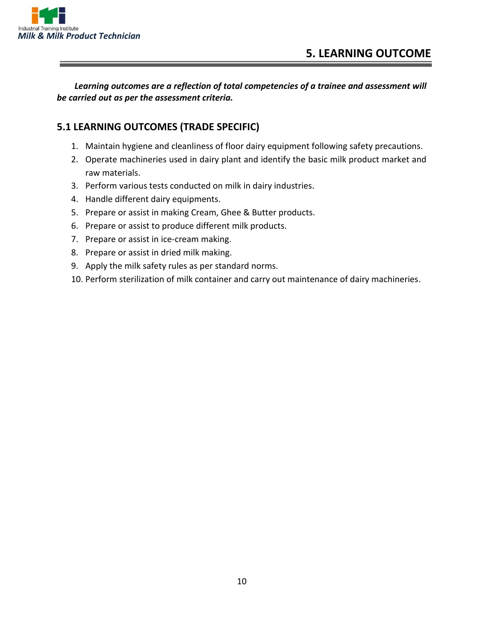

*Learning outcomes are a reflection of total competencies of a trainee and assessment will be carried out as per the assessment criteria.*

#### **5.1 LEARNING OUTCOMES (TRADE SPECIFIC)**

- 1. Maintain hygiene and cleanliness of floor dairy equipment following safety precautions.
- 2. Operate machineries used in dairy plant and identify the basic milk product market and raw materials.
- 3. Perform various tests conducted on milk in dairy industries.
- 4. Handle different dairy equipments.
- 5. Prepare or assist in making Cream, Ghee & Butter products.
- 6. Prepare or assist to produce different milk products.
- 7. Prepare or assist in ice-cream making.
- 8. Prepare or assist in dried milk making.
- 9. Apply the milk safety rules as per standard norms.
- 10. Perform sterilization of milk container and carry out maintenance of dairy machineries.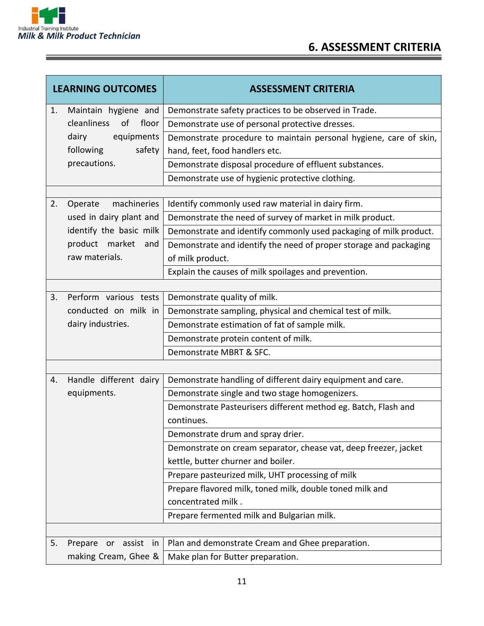

|                   | <b>LEARNING OUTCOMES</b>   | <b>ASSESSMENT CRITERIA</b>                                        |
|-------------------|----------------------------|-------------------------------------------------------------------|
| 1.                | Maintain hygiene and       | Demonstrate safety practices to be observed in Trade.             |
|                   | floor<br>cleanliness of    | Demonstrate use of personal protective dresses.                   |
|                   | dairy<br>equipments        | Demonstrate procedure to maintain personal hygiene, care of skin, |
|                   | following<br>safety        | hand, feet, food handlers etc.                                    |
|                   | precautions.               | Demonstrate disposal procedure of effluent substances.            |
|                   |                            | Demonstrate use of hygienic protective clothing.                  |
|                   |                            |                                                                   |
| 2.                | machineries<br>Operate     | Identify commonly used raw material in dairy firm.                |
|                   | used in dairy plant and    | Demonstrate the need of survey of market in milk product.         |
|                   | identify the basic milk    | Demonstrate and identify commonly used packaging of milk product. |
|                   | product market<br>and      | Demonstrate and identify the need of proper storage and packaging |
|                   | raw materials.             | of milk product.                                                  |
|                   |                            | Explain the causes of milk spoilages and prevention.              |
|                   |                            |                                                                   |
| 3.                | Perform various tests      | Demonstrate quality of milk.                                      |
|                   | conducted on milk in       | Demonstrate sampling, physical and chemical test of milk.         |
| dairy industries. |                            | Demonstrate estimation of fat of sample milk.                     |
|                   |                            | Demonstrate protein content of milk.                              |
|                   |                            | Demonstrate MBRT & SFC.                                           |
|                   |                            |                                                                   |
| 4.                | Handle different dairy     | Demonstrate handling of different dairy equipment and care.       |
|                   | equipments.                | Demonstrate single and two stage homogenizers.                    |
|                   |                            | Demonstrate Pasteurisers different method eg. Batch, Flash and    |
|                   |                            | continues.                                                        |
|                   |                            | Demonstrate drum and spray drier.                                 |
|                   |                            | Demonstrate on cream separator, chease vat, deep freezer, jacket  |
|                   |                            | kettle, butter churner and boiler.                                |
|                   |                            | Prepare pasteurized milk, UHT processing of milk                  |
|                   |                            | Prepare flavored milk, toned milk, double toned milk and          |
|                   |                            | concentrated milk.                                                |
|                   |                            | Prepare fermented milk and Bulgarian milk.                        |
|                   |                            |                                                                   |
| 5.                | Prepare<br>assist in<br>or | Plan and demonstrate Cream and Ghee preparation.                  |
|                   | making Cream, Ghee &       | Make plan for Butter preparation.                                 |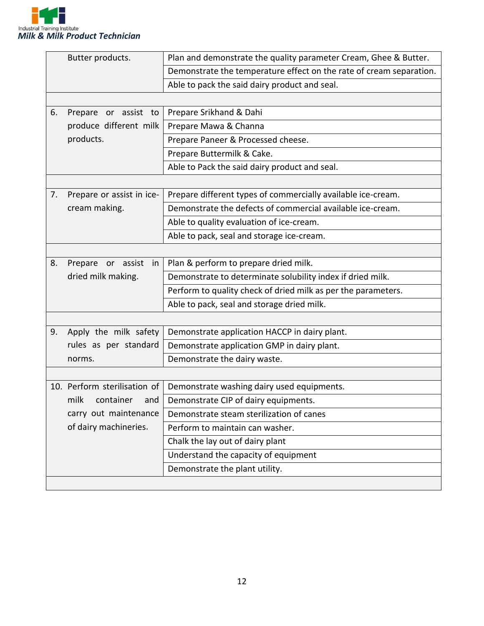

| Butter products.      |                              | Plan and demonstrate the quality parameter Cream, Ghee & Butter.    |  |  |
|-----------------------|------------------------------|---------------------------------------------------------------------|--|--|
|                       |                              | Demonstrate the temperature effect on the rate of cream separation. |  |  |
|                       |                              | Able to pack the said dairy product and seal.                       |  |  |
|                       |                              |                                                                     |  |  |
| 6.                    | Prepare<br>or assist to      | Prepare Srikhand & Dahi                                             |  |  |
|                       | produce different milk       | Prepare Mawa & Channa                                               |  |  |
|                       | products.                    | Prepare Paneer & Processed cheese.                                  |  |  |
|                       |                              | Prepare Buttermilk & Cake.                                          |  |  |
|                       |                              | Able to Pack the said dairy product and seal.                       |  |  |
|                       |                              |                                                                     |  |  |
| 7.                    | Prepare or assist in ice-    | Prepare different types of commercially available ice-cream.        |  |  |
|                       | cream making.                | Demonstrate the defects of commercial available ice-cream.          |  |  |
|                       |                              | Able to quality evaluation of ice-cream.                            |  |  |
|                       |                              | Able to pack, seal and storage ice-cream.                           |  |  |
|                       |                              |                                                                     |  |  |
| 8.                    | Prepare or assist<br>in      | Plan & perform to prepare dried milk.                               |  |  |
|                       | dried milk making.           | Demonstrate to determinate solubility index if dried milk.          |  |  |
|                       |                              | Perform to quality check of dried milk as per the parameters.       |  |  |
|                       |                              | Able to pack, seal and storage dried milk.                          |  |  |
|                       |                              |                                                                     |  |  |
| 9.                    | Apply the milk safety        | Demonstrate application HACCP in dairy plant.                       |  |  |
|                       | rules as per standard        | Demonstrate application GMP in dairy plant.                         |  |  |
|                       | norms.                       | Demonstrate the dairy waste.                                        |  |  |
|                       |                              |                                                                     |  |  |
|                       | 10. Perform sterilisation of | Demonstrate washing dairy used equipments.                          |  |  |
|                       | milk<br>container<br>and     | Demonstrate CIP of dairy equipments.                                |  |  |
|                       | carry out maintenance        | Demonstrate steam sterilization of canes                            |  |  |
| of dairy machineries. |                              | Perform to maintain can washer.                                     |  |  |
|                       |                              | Chalk the lay out of dairy plant                                    |  |  |
|                       |                              | Understand the capacity of equipment                                |  |  |
|                       |                              | Demonstrate the plant utility.                                      |  |  |
|                       |                              |                                                                     |  |  |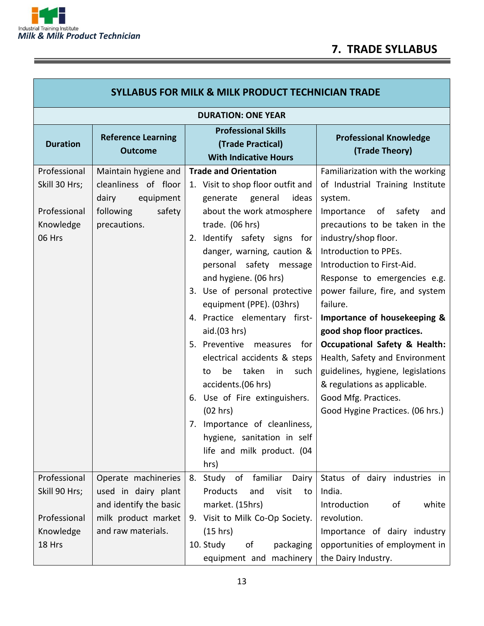

Ξ

٦

| <b>SYLLABUS FOR MILK &amp; MILK PRODUCT TECHNICIAN TRADE</b> |                                             |                                                                                 |                                                 |  |  |  |
|--------------------------------------------------------------|---------------------------------------------|---------------------------------------------------------------------------------|-------------------------------------------------|--|--|--|
| <b>DURATION: ONE YEAR</b>                                    |                                             |                                                                                 |                                                 |  |  |  |
| <b>Duration</b>                                              | <b>Reference Learning</b><br><b>Outcome</b> | <b>Professional Skills</b><br>(Trade Practical)<br><b>With Indicative Hours</b> | <b>Professional Knowledge</b><br>(Trade Theory) |  |  |  |
| Professional                                                 | Maintain hygiene and                        | <b>Trade and Orientation</b>                                                    | Familiarization with the working                |  |  |  |
| Skill 30 Hrs;                                                | cleanliness of floor<br>dairy<br>equipment  | 1. Visit to shop floor outfit and<br>generate<br>general<br>ideas               | of Industrial Training Institute<br>system.     |  |  |  |
| Professional                                                 | following<br>safety                         | about the work atmosphere                                                       | of safety<br>Importance<br>and                  |  |  |  |
| Knowledge                                                    | precautions.                                | trade. (06 hrs)                                                                 | precautions to be taken in the                  |  |  |  |
| 06 Hrs                                                       |                                             | 2. Identify safety signs for                                                    | industry/shop floor.                            |  |  |  |
|                                                              |                                             | danger, warning, caution &                                                      | Introduction to PPEs.                           |  |  |  |
|                                                              |                                             | personal safety message                                                         | Introduction to First-Aid.                      |  |  |  |
|                                                              |                                             | and hygiene. (06 hrs)                                                           | Response to emergencies e.g.                    |  |  |  |
|                                                              |                                             | 3. Use of personal protective                                                   | power failure, fire, and system                 |  |  |  |
|                                                              |                                             | equipment (PPE). (03hrs)                                                        | failure.                                        |  |  |  |
|                                                              |                                             | 4. Practice elementary first-                                                   | Importance of housekeeping &                    |  |  |  |
|                                                              |                                             | aid.(03 hrs)                                                                    | good shop floor practices.                      |  |  |  |
|                                                              |                                             | 5. Preventive measures for                                                      | <b>Occupational Safety &amp; Health:</b>        |  |  |  |
|                                                              |                                             | electrical accidents & steps                                                    | Health, Safety and Environment                  |  |  |  |
|                                                              |                                             | taken<br>be<br>in<br>such<br>to                                                 | guidelines, hygiene, legislations               |  |  |  |
|                                                              |                                             | accidents.(06 hrs)                                                              | & regulations as applicable.                    |  |  |  |
|                                                              |                                             | Use of Fire extinguishers.<br>6.                                                | Good Mfg. Practices.                            |  |  |  |
|                                                              |                                             | (02 hrs)                                                                        | Good Hygine Practices. (06 hrs.)                |  |  |  |
|                                                              |                                             | Importance of cleanliness,<br>7.                                                |                                                 |  |  |  |
|                                                              |                                             | hygiene, sanitation in self                                                     |                                                 |  |  |  |
|                                                              |                                             | life and milk product. (04                                                      |                                                 |  |  |  |
|                                                              |                                             | hrs)                                                                            |                                                 |  |  |  |
| Professional                                                 | Operate machineries                         | 8. Study of familiar<br>Dairy                                                   | Status of dairy industries in                   |  |  |  |
| Skill 90 Hrs;                                                | used in dairy plant                         | Products<br>and<br>visit<br>to                                                  | India.                                          |  |  |  |
|                                                              | and identify the basic                      | market. (15hrs)                                                                 | Introduction<br>white<br>оf                     |  |  |  |
| Professional                                                 | milk product market                         | 9. Visit to Milk Co-Op Society.                                                 | revolution.                                     |  |  |  |
| Knowledge                                                    | and raw materials.                          | (15 hrs)                                                                        | Importance of dairy industry                    |  |  |  |
| 18 Hrs                                                       |                                             | 10. Study<br>οf<br>packaging                                                    | opportunities of employment in                  |  |  |  |
|                                                              |                                             | equipment and machinery                                                         | the Dairy Industry.                             |  |  |  |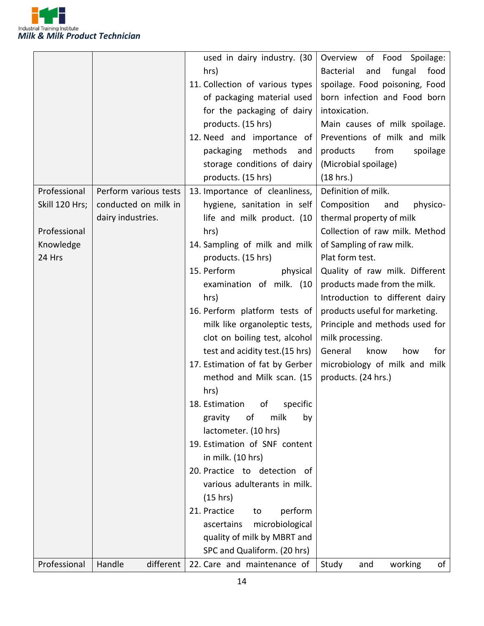

|                |                       | used in dairy industry. (30     | Overview of Food Spoilage:                |
|----------------|-----------------------|---------------------------------|-------------------------------------------|
|                |                       | hrs)                            | <b>Bacterial</b><br>fungal<br>food<br>and |
|                |                       | 11. Collection of various types | spoilage. Food poisoning, Food            |
|                |                       | of packaging material used      | born infection and Food born              |
|                |                       | for the packaging of dairy      | intoxication.                             |
|                |                       |                                 |                                           |
|                |                       | products. (15 hrs)              | Main causes of milk spoilage.             |
|                |                       | 12. Need and importance of      | Preventions of milk and milk              |
|                |                       | methods and<br>packaging        | spoilage<br>products<br>from              |
|                |                       | storage conditions of dairy     | (Microbial spoilage)                      |
|                |                       | products. (15 hrs)              | (18 hrs.)                                 |
| Professional   | Perform various tests | 13. Importance of cleanliness,  | Definition of milk.                       |
| Skill 120 Hrs; | conducted on milk in  | hygiene, sanitation in self     | Composition<br>and<br>physico-            |
|                | dairy industries.     | life and milk product. (10      | thermal property of milk                  |
| Professional   |                       | hrs)                            | Collection of raw milk. Method            |
| Knowledge      |                       | 14. Sampling of milk and milk   | of Sampling of raw milk.                  |
| 24 Hrs         |                       | products. (15 hrs)              | Plat form test.                           |
|                |                       | 15. Perform<br>physical         | Quality of raw milk. Different            |
|                |                       | examination of milk. (10        | products made from the milk.              |
|                |                       | hrs)                            | Introduction to different dairy           |
|                |                       | 16. Perform platform tests of   | products useful for marketing.            |
|                |                       | milk like organoleptic tests,   | Principle and methods used for            |
|                |                       | clot on boiling test, alcohol   | milk processing.                          |
|                |                       | test and acidity test. (15 hrs) | General<br>know<br>how<br>for             |
|                |                       | 17. Estimation of fat by Gerber | microbiology of milk and milk             |
|                |                       | method and Milk scan. (15       | products. (24 hrs.)                       |
|                |                       | hrs)                            |                                           |
|                |                       | 18. Estimation of specific      |                                           |
|                |                       |                                 |                                           |
|                |                       | milk<br>of<br>by<br>gravity     |                                           |
|                |                       | lactometer. (10 hrs)            |                                           |
|                |                       | 19. Estimation of SNF content   |                                           |
|                |                       | in milk. (10 hrs)               |                                           |
|                |                       | 20. Practice to detection of    |                                           |
|                |                       | various adulterants in milk.    |                                           |
|                |                       | (15 hrs)                        |                                           |
|                |                       | 21. Practice<br>perform<br>to   |                                           |
|                |                       | microbiological<br>ascertains   |                                           |
|                |                       | quality of milk by MBRT and     |                                           |
|                |                       | SPC and Qualiform. (20 hrs)     |                                           |
| Professional   | Handle<br>different   | 22. Care and maintenance of     | Study<br>working<br>and<br>of             |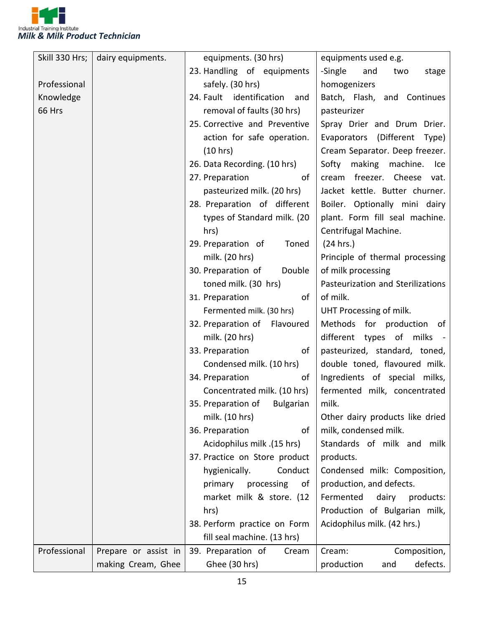

| Skill 330 Hrs; | dairy equipments.    | equipments. (30 hrs)                 | equipments used e.g.              |
|----------------|----------------------|--------------------------------------|-----------------------------------|
|                |                      | 23. Handling of equipments           | -Single<br>and<br>stage<br>two    |
| Professional   |                      | safely. (30 hrs)                     | homogenizers                      |
| Knowledge      |                      | 24. Fault identification<br>and      | Batch, Flash, and Continues       |
| 66 Hrs         |                      | removal of faults (30 hrs)           | pasteurizer                       |
|                |                      | 25. Corrective and Preventive        | Spray Drier and Drum Drier.       |
|                |                      | action for safe operation.           | Evaporators (Different<br>Type)   |
|                |                      | (10 hrs)                             | Cream Separator. Deep freezer.    |
|                |                      | 26. Data Recording. (10 hrs)         | making<br>Softy<br>machine. Ice   |
|                |                      | 27. Preparation<br>οf                | cream freezer. Cheese vat.        |
|                |                      | pasteurized milk. (20 hrs)           | Jacket kettle. Butter churner.    |
|                |                      | 28. Preparation of different         | Boiler. Optionally mini dairy     |
|                |                      | types of Standard milk. (20          | plant. Form fill seal machine.    |
|                |                      | hrs)                                 | Centrifugal Machine.              |
|                |                      | 29. Preparation of<br>Toned          | (24 hrs.)                         |
|                |                      | milk. (20 hrs)                       | Principle of thermal processing   |
|                |                      | 30. Preparation of<br>Double         | of milk processing                |
|                |                      | toned milk. (30 hrs)                 | Pasteurization and Sterilizations |
|                |                      | 31. Preparation<br>of                | of milk.                          |
|                |                      | Fermented milk. (30 hrs)             | UHT Processing of milk.           |
|                |                      | 32. Preparation of Flavoured         | Methods for production of         |
|                |                      | milk. (20 hrs)                       | different types of milks -        |
|                |                      | 33. Preparation<br>of                | pasteurized, standard, toned,     |
|                |                      | Condensed milk. (10 hrs)             | double toned, flavoured milk.     |
|                |                      | 34. Preparation<br>of                | Ingredients of special milks,     |
|                |                      | Concentrated milk. (10 hrs)          | fermented milk, concentrated      |
|                |                      | 35. Preparation of Bulgarian   milk. |                                   |
|                |                      | milk. (10 hrs)                       | Other dairy products like dried   |
|                |                      | 36. Preparation<br>of                | milk, condensed milk.             |
|                |                      | Acidophilus milk .(15 hrs)           | Standards of milk and milk        |
|                |                      | 37. Practice on Store product        | products.                         |
|                |                      | hygienically.<br>Conduct             | Condensed milk: Composition,      |
|                |                      | primary<br>processing<br>of          | production, and defects.          |
|                |                      | market milk & store. (12             | Fermented<br>dairy<br>products:   |
|                |                      | hrs)                                 | Production of Bulgarian milk,     |
|                |                      | 38. Perform practice on Form         | Acidophilus milk. (42 hrs.)       |
|                |                      | fill seal machine. (13 hrs)          |                                   |
| Professional   | Prepare or assist in | 39. Preparation of<br>Cream          | Composition,<br>Cream:            |
|                | making Cream, Ghee   | Ghee (30 hrs)                        | defects.<br>production<br>and     |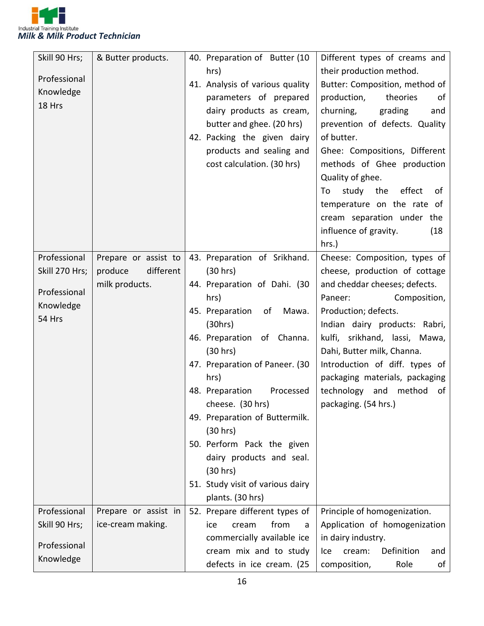

| Skill 90 Hrs;  | & Butter products.   | 40. Preparation of Butter (10    | Different types of creams and      |
|----------------|----------------------|----------------------------------|------------------------------------|
|                |                      | hrs)                             | their production method.           |
| Professional   |                      | 41. Analysis of various quality  | Butter: Composition, method of     |
| Knowledge      |                      | parameters of prepared           | production,<br>theories<br>οf      |
| 18 Hrs         |                      | dairy products as cream,         | churning,<br>grading<br>and        |
|                |                      | butter and ghee. (20 hrs)        | prevention of defects. Quality     |
|                |                      | 42. Packing the given dairy      | of butter.                         |
|                |                      | products and sealing and         | Ghee: Compositions, Different      |
|                |                      | cost calculation. (30 hrs)       | methods of Ghee production         |
|                |                      |                                  | Quality of ghee.                   |
|                |                      |                                  | study the<br>effect<br>To<br>of    |
|                |                      |                                  | temperature on the rate of         |
|                |                      |                                  | cream separation under the         |
|                |                      |                                  | influence of gravity.<br>(18)      |
|                |                      |                                  | hrs.)                              |
| Professional   | Prepare or assist to | 43. Preparation of Srikhand.     | Cheese: Composition, types of      |
| Skill 270 Hrs; | different<br>produce | (30 hrs)                         | cheese, production of cottage      |
|                | milk products.       | 44. Preparation of Dahi. (30     | and cheddar cheeses; defects.      |
| Professional   |                      | hrs)                             | Composition,<br>Paneer:            |
| Knowledge      |                      | 45. Preparation<br>of<br>Mawa.   | Production; defects.               |
| 54 Hrs         |                      | (30hrs)                          | Indian dairy products: Rabri,      |
|                |                      | 46. Preparation of Channa.       | kulfi, srikhand, lassi, Mawa,      |
|                |                      | (30 hrs)                         | Dahi, Butter milk, Channa.         |
|                |                      | 47. Preparation of Paneer. (30   | Introduction of diff. types of     |
|                |                      | hrs)                             | packaging materials, packaging     |
|                |                      | 48. Preparation<br>Processed     | technology and method<br>of        |
|                |                      | cheese. (30 hrs)                 | packaging. (54 hrs.)               |
|                |                      | 49. Preparation of Buttermilk.   |                                    |
|                |                      | (30 hrs)                         |                                    |
|                |                      | 50. Perform Pack the given       |                                    |
|                |                      | dairy products and seal.         |                                    |
|                |                      | (30 hrs)                         |                                    |
|                |                      | 51. Study visit of various dairy |                                    |
|                |                      | plants. (30 hrs)                 |                                    |
| Professional   | Prepare or assist in | 52. Prepare different types of   | Principle of homogenization.       |
| Skill 90 Hrs;  | ice-cream making.    | from<br>cream<br>ice<br>a        | Application of homogenization      |
|                |                      | commercially available ice       | in dairy industry.                 |
| Professional   |                      | cream mix and to study           | Definition<br>cream:<br>and<br>lce |
| Knowledge      |                      | defects in ice cream. (25        | composition,<br>Role<br>of         |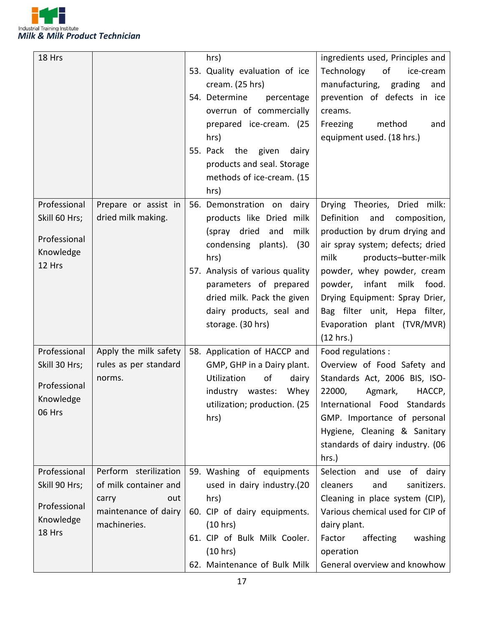

| 18 Hrs                        |                                                | hrs)                                                    | ingredients used, Principles and                                   |
|-------------------------------|------------------------------------------------|---------------------------------------------------------|--------------------------------------------------------------------|
|                               |                                                | 53. Quality evaluation of ice<br>cream. (25 hrs)        | Technology<br>of<br>ice-cream<br>manufacturing, grading<br>and     |
|                               |                                                | 54. Determine<br>percentage<br>overrun of commercially  | prevention of defects in ice<br>creams.                            |
|                               |                                                | prepared ice-cream. (25<br>hrs)                         | Freezing<br>method<br>and<br>equipment used. (18 hrs.)             |
|                               |                                                | 55. Pack the given<br>dairy                             |                                                                    |
|                               |                                                | products and seal. Storage                              |                                                                    |
|                               |                                                | methods of ice-cream. (15<br>hrs)                       |                                                                    |
| Professional                  | Prepare or assist in                           | 56. Demonstration on dairy                              | Drying Theories, Dried milk:                                       |
| Skill 60 Hrs;                 | dried milk making.                             | products like Dried milk                                | Definition<br>and<br>composition,                                  |
| Professional                  |                                                | milk<br>(spray dried and<br>condensing plants).<br>(30) | production by drum drying and<br>air spray system; defects; dried  |
| Knowledge                     |                                                | hrs)                                                    | milk<br>products-butter-milk                                       |
| 12 Hrs                        |                                                | 57. Analysis of various quality                         | powder, whey powder, cream                                         |
|                               |                                                | parameters of prepared                                  | powder, infant<br>milk<br>food.                                    |
|                               |                                                | dried milk. Pack the given                              | Drying Equipment: Spray Drier,                                     |
|                               |                                                | dairy products, seal and                                | Bag filter unit, Hepa filter,                                      |
|                               |                                                | storage. (30 hrs)                                       | Evaporation plant (TVR/MVR)                                        |
| Professional                  | Apply the milk safety                          | 58. Application of HACCP and                            | (12 hrs.)<br>Food regulations :                                    |
| Skill 30 Hrs;                 | rules as per standard                          | GMP, GHP in a Dairy plant.                              | Overview of Food Safety and                                        |
|                               | norms.                                         | Utilization<br>οf<br>dairy                              | Standards Act, 2006 BIS, ISO-                                      |
| Professional                  |                                                | wastes:<br>Whey<br>industry                             | 22000,<br>Agmark,<br>HACCP,                                        |
| Knowledge                     |                                                | utilization; production. (25                            | International Food Standards                                       |
| 06 Hrs                        |                                                | hrs)                                                    | GMP. Importance of personal                                        |
|                               |                                                |                                                         | Hygiene, Cleaning & Sanitary                                       |
|                               |                                                |                                                         | standards of dairy industry. (06                                   |
|                               |                                                |                                                         | hrs.)                                                              |
| Professional<br>Skill 90 Hrs; | Perform sterilization<br>of milk container and | 59. Washing of equipments<br>used in dairy industry.(20 | and use<br>of dairy<br>Selection<br>cleaners<br>sanitizers.<br>and |
|                               | carry<br>out                                   | hrs)                                                    | Cleaning in place system (CIP),                                    |
| Professional                  | maintenance of dairy                           | 60. CIP of dairy equipments.                            | Various chemical used for CIP of                                   |
| Knowledge                     | machineries.                                   | (10 hrs)                                                | dairy plant.                                                       |
| 18 Hrs                        |                                                | 61. CIP of Bulk Milk Cooler.                            | Factor<br>affecting<br>washing                                     |
|                               |                                                | (10 hrs)                                                | operation                                                          |
|                               |                                                | 62. Maintenance of Bulk Milk                            | General overview and knowhow                                       |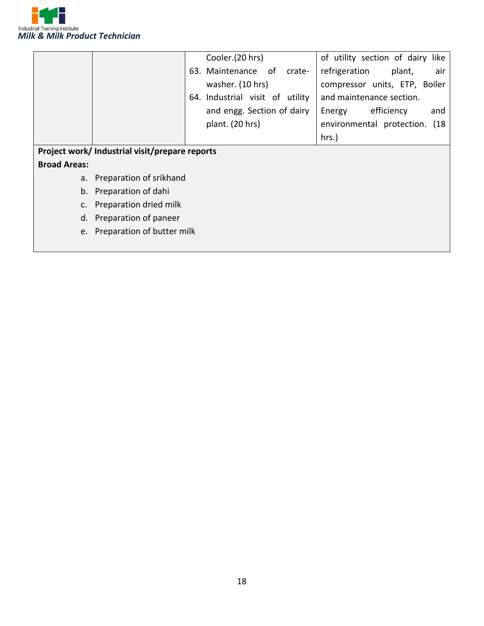

|                     |                                                | Cooler.(20 hrs)                 | of utility section of dairy like |
|---------------------|------------------------------------------------|---------------------------------|----------------------------------|
|                     |                                                | 63. Maintenance of<br>crate-    | refrigeration<br>plant,<br>air   |
|                     |                                                | washer. (10 hrs)                | compressor units, ETP, Boiler    |
|                     |                                                | 64. Industrial visit of utility | and maintenance section.         |
|                     |                                                | and engg. Section of dairy      | efficiency<br>Energy<br>and      |
|                     |                                                | plant. (20 hrs)                 | environmental protection. (18    |
|                     |                                                |                                 | hrs.)                            |
|                     | Project work/ Industrial visit/prepare reports |                                 |                                  |
| <b>Broad Areas:</b> |                                                |                                 |                                  |
|                     | a. Preparation of srikhand                     |                                 |                                  |
|                     | b. Preparation of dahi                         |                                 |                                  |
|                     | c. Preparation dried milk                      |                                 |                                  |
|                     | d. Preparation of paneer                       |                                 |                                  |
|                     | e. Preparation of butter milk                  |                                 |                                  |
|                     |                                                |                                 |                                  |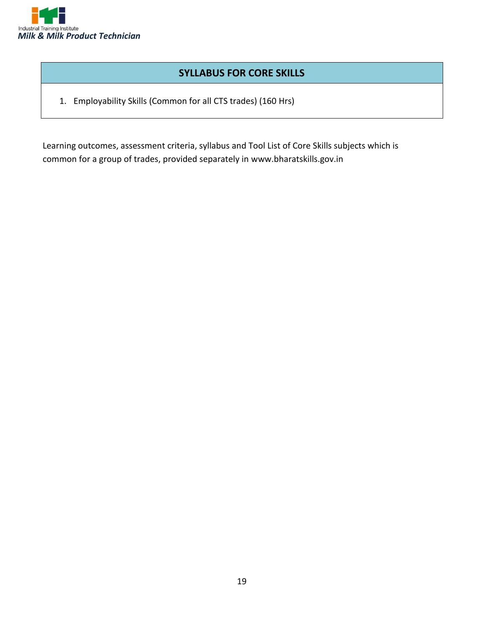

#### **SYLLABUS FOR CORE SKILLS**

1. Employability Skills (Common for all CTS trades) (160 Hrs)

Learning outcomes, assessment criteria, syllabus and Tool List of Core Skills subjects which is common for a group of trades, provided separately in www.bharatskills.gov.in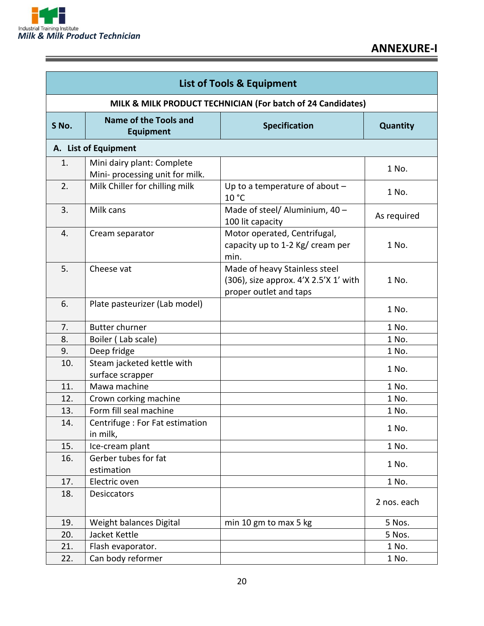

Ξ

| <b>List of Tools &amp; Equipment</b>                        |                                                               |                                                                                                  |             |
|-------------------------------------------------------------|---------------------------------------------------------------|--------------------------------------------------------------------------------------------------|-------------|
| MILK & MILK PRODUCT TECHNICIAN (For batch of 24 Candidates) |                                                               |                                                                                                  |             |
| S No.                                                       | <b>Name of the Tools and</b><br><b>Equipment</b>              | <b>Specification</b>                                                                             | Quantity    |
|                                                             | A. List of Equipment                                          |                                                                                                  |             |
| 1.                                                          | Mini dairy plant: Complete<br>Mini- processing unit for milk. |                                                                                                  | 1 No.       |
| 2.                                                          | Milk Chiller for chilling milk                                | Up to a temperature of about $-$<br>10 °C                                                        | 1 No.       |
| 3.                                                          | Milk cans                                                     | Made of steel/ Aluminium, 40 -<br>100 lit capacity                                               | As required |
| 4.                                                          | Cream separator                                               | Motor operated, Centrifugal,<br>capacity up to 1-2 Kg/ cream per<br>min.                         | 1 No.       |
| 5.                                                          | Cheese vat                                                    | Made of heavy Stainless steel<br>(306), size approx. 4'X 2.5'X 1' with<br>proper outlet and taps | 1 No.       |
| 6.                                                          | Plate pasteurizer (Lab model)                                 |                                                                                                  | 1 No.       |
| 7.                                                          | <b>Butter churner</b>                                         |                                                                                                  | 1 No.       |
| 8.                                                          | Boiler (Lab scale)                                            |                                                                                                  | 1 No.       |
| 9.                                                          | Deep fridge                                                   |                                                                                                  | 1 No.       |
| 10.                                                         | Steam jacketed kettle with<br>surface scrapper                |                                                                                                  | 1 No.       |
| 11.                                                         | Mawa machine                                                  |                                                                                                  | 1 No.       |
| 12.                                                         | Crown corking machine                                         |                                                                                                  | 1 No.       |
| 13.                                                         | Form fill seal machine                                        |                                                                                                  | 1 No.       |
| 14.                                                         | Centrifuge : For Fat estimation<br>in milk,                   |                                                                                                  | 1 No.       |
| 15.                                                         | Ice-cream plant                                               |                                                                                                  | 1 No.       |
| 16.                                                         | Gerber tubes for fat<br>estimation                            |                                                                                                  | 1 No.       |
| 17.                                                         | Electric oven                                                 |                                                                                                  | 1 No.       |
| 18.                                                         | <b>Desiccators</b>                                            |                                                                                                  | 2 nos. each |
| 19.                                                         | Weight balances Digital                                       | min 10 gm to max 5 kg                                                                            | 5 Nos.      |
| 20.                                                         | Jacket Kettle                                                 |                                                                                                  | 5 Nos.      |
| 21.                                                         | Flash evaporator.                                             |                                                                                                  | 1 No.       |
| 22.                                                         | Can body reformer                                             |                                                                                                  | 1 No.       |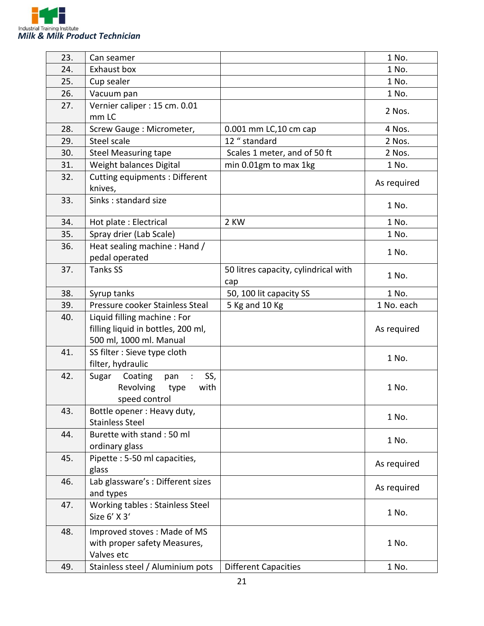

| 23. | Can seamer                                                                                   |                                             | 1 No.       |
|-----|----------------------------------------------------------------------------------------------|---------------------------------------------|-------------|
| 24. | Exhaust box                                                                                  |                                             | 1 No.       |
| 25. | Cup sealer                                                                                   |                                             | 1 No.       |
| 26. | Vacuum pan                                                                                   |                                             | 1 No.       |
| 27. | Vernier caliper : 15 cm. 0.01<br>mm LC                                                       |                                             | 2 Nos.      |
| 28. | Screw Gauge: Micrometer,                                                                     | 0.001 mm LC, 10 cm cap                      | 4 Nos.      |
| 29. | Steel scale                                                                                  | 12 " standard                               | 2 Nos.      |
| 30. | <b>Steel Measuring tape</b>                                                                  | Scales 1 meter, and of 50 ft                | 2 Nos.      |
| 31. | Weight balances Digital                                                                      | min 0.01gm to max 1kg                       | 1 No.       |
| 32. | Cutting equipments: Different<br>knives,                                                     |                                             | As required |
| 33. | Sinks: standard size                                                                         |                                             | 1 No.       |
| 34. | Hot plate: Electrical                                                                        | 2 KW                                        | 1 No.       |
| 35. | Spray drier (Lab Scale)                                                                      |                                             | 1 No.       |
| 36. | Heat sealing machine : Hand /<br>pedal operated                                              |                                             | 1 No.       |
| 37. | <b>Tanks SS</b>                                                                              | 50 litres capacity, cylindrical with<br>cap | 1 No.       |
| 38. | Syrup tanks                                                                                  | 50, 100 lit capacity SS                     | 1 No.       |
| 39. | Pressure cooker Stainless Steal                                                              | 5 Kg and 10 Kg                              | 1 No. each  |
| 40. | Liquid filling machine: For<br>filling liquid in bottles, 200 ml,<br>500 ml, 1000 ml. Manual |                                             | As required |
| 41. | SS filter : Sieve type cloth<br>filter, hydraulic                                            |                                             | 1 No.       |
| 42. | Coating<br>SS,<br>Sugar<br>pan<br>Revolving<br>with<br>type<br>speed control                 |                                             | 1 No.       |
| 43. | Bottle opener: Heavy duty,<br><b>Stainless Steel</b>                                         |                                             | 1 No.       |
| 44. | Burette with stand: 50 ml<br>ordinary glass                                                  |                                             | 1 No.       |
| 45. | Pipette: 5-50 ml capacities,<br>glass                                                        |                                             | As required |
| 46. | Lab glassware's : Different sizes<br>and types                                               |                                             | As required |
| 47. | Working tables : Stainless Steel<br>Size 6' X 3'                                             |                                             | 1 No.       |
| 48. | Improved stoves: Made of MS<br>with proper safety Measures,<br>Valves etc                    |                                             | 1 No.       |
| 49. | Stainless steel / Aluminium pots                                                             | <b>Different Capacities</b>                 | 1 No.       |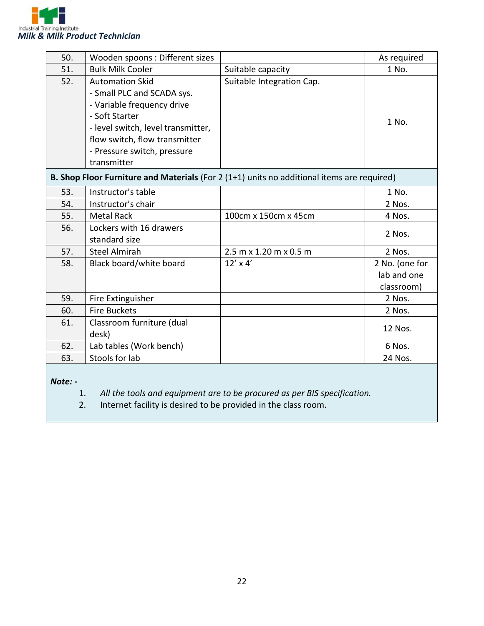

| 50. | Wooden spoons : Different sizes                                                                                                                                                                                           |                                                                                            | As required    |
|-----|---------------------------------------------------------------------------------------------------------------------------------------------------------------------------------------------------------------------------|--------------------------------------------------------------------------------------------|----------------|
| 51. | <b>Bulk Milk Cooler</b>                                                                                                                                                                                                   | Suitable capacity                                                                          | 1 No.          |
| 52. | <b>Automation Skid</b><br>- Small PLC and SCADA sys.<br>- Variable frequency drive<br>- Soft Starter<br>- level switch, level transmitter,<br>flow switch, flow transmitter<br>- Pressure switch, pressure<br>transmitter | Suitable Integration Cap.                                                                  | 1 No.          |
|     |                                                                                                                                                                                                                           | B. Shop Floor Furniture and Materials (For 2 (1+1) units no additional items are required) |                |
| 53. | Instructor's table                                                                                                                                                                                                        |                                                                                            | 1 No.          |
| 54. | Instructor's chair                                                                                                                                                                                                        |                                                                                            | 2 Nos.         |
| 55. | <b>Metal Rack</b>                                                                                                                                                                                                         | 100cm x 150cm x 45cm                                                                       | 4 Nos.         |
| 56. | Lockers with 16 drawers<br>standard size                                                                                                                                                                                  |                                                                                            | 2 Nos.         |
| 57. | <b>Steel Almirah</b>                                                                                                                                                                                                      | $2.5$ m x 1.20 m x 0.5 m                                                                   | 2 Nos.         |
| 58. | Black board/white board                                                                                                                                                                                                   | $12' \times 4'$                                                                            | 2 No. (one for |
|     |                                                                                                                                                                                                                           |                                                                                            | lab and one    |
|     |                                                                                                                                                                                                                           |                                                                                            | classroom)     |
| 59. | Fire Extinguisher                                                                                                                                                                                                         |                                                                                            | 2 Nos.         |
| 60. | <b>Fire Buckets</b>                                                                                                                                                                                                       |                                                                                            | 2 Nos.         |
| 61. | Classroom furniture (dual                                                                                                                                                                                                 |                                                                                            | 12 Nos.        |
|     | desk)                                                                                                                                                                                                                     |                                                                                            |                |
| 62. | Lab tables (Work bench)                                                                                                                                                                                                   |                                                                                            | 6 Nos.         |
| 63. | Stools for lab                                                                                                                                                                                                            |                                                                                            | 24 Nos.        |

*Note: -*

- 1. *All the tools and equipment are to be procured as per BIS specification.*
- Internet facility is desired to be provided in the class room.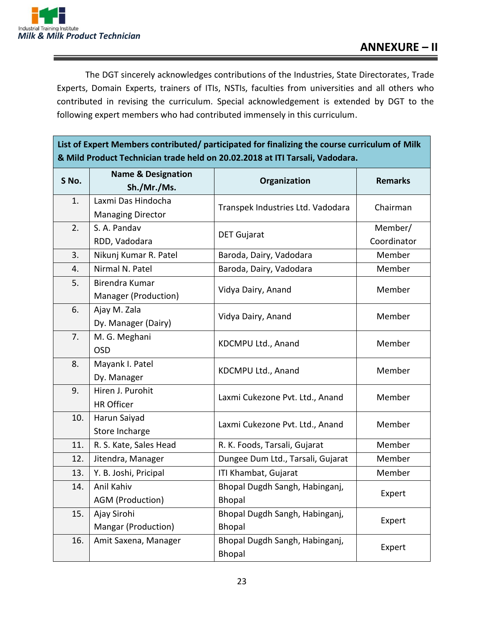

The DGT sincerely acknowledges contributions of the Industries, State Directorates, Trade Experts, Domain Experts, trainers of ITIs, NSTIs, faculties from universities and all others who contributed in revising the curriculum. Special acknowledgement is extended by DGT to the following expert members who had contributed immensely in this curriculum.

**List of Expert Members contributed/ participated for finalizing the course curriculum of Milk & Mild Product Technician trade held on 20.02.2018 at ITI Tarsali, Vadodara.**

| S No. | <b>Name &amp; Designation</b> | Organization                      | <b>Remarks</b> |
|-------|-------------------------------|-----------------------------------|----------------|
|       | Sh./Mr./Ms.                   |                                   |                |
| 1.    | Laxmi Das Hindocha            | Transpek Industries Ltd. Vadodara | Chairman       |
|       | <b>Managing Director</b>      |                                   |                |
| 2.    | S. A. Pandav                  | <b>DET Gujarat</b>                | Member/        |
|       | RDD, Vadodara                 |                                   | Coordinator    |
| 3.    | Nikunj Kumar R. Patel         | Baroda, Dairy, Vadodara           | Member         |
| 4.    | Nirmal N. Patel               | Baroda, Dairy, Vadodara           | Member         |
| 5.    | Birendra Kumar                | Vidya Dairy, Anand                | Member         |
|       | Manager (Production)          |                                   |                |
| 6.    | Ajay M. Zala                  | Vidya Dairy, Anand                | Member         |
|       | Dy. Manager (Dairy)           |                                   |                |
| 7.    | M. G. Meghani                 | KDCMPU Ltd., Anand                | Member         |
|       | <b>OSD</b>                    |                                   |                |
| 8.    | Mayank I. Patel               | KDCMPU Ltd., Anand                | Member         |
|       | Dy. Manager                   |                                   |                |
| 9.    | Hiren J. Purohit              | Laxmi Cukezone Pvt. Ltd., Anand   | Member         |
|       | <b>HR Officer</b>             |                                   |                |
| 10.   | Harun Saiyad                  | Laxmi Cukezone Pvt. Ltd., Anand   | Member         |
|       | Store Incharge                |                                   |                |
| 11.   | R. S. Kate, Sales Head        | R. K. Foods, Tarsali, Gujarat     | Member         |
| 12.   | Jitendra, Manager             | Dungee Dum Ltd., Tarsali, Gujarat | Member         |
| 13.   | Y. B. Joshi, Pricipal         | ITI Khambat, Gujarat              | Member         |
| 14.   | Anil Kahiv                    | Bhopal Dugdh Sangh, Habinganj,    | Expert         |
|       | AGM (Production)              | <b>Bhopal</b>                     |                |
| 15.   | Ajay Sirohi                   | Bhopal Dugdh Sangh, Habinganj,    | Expert         |
|       | Mangar (Production)           | <b>Bhopal</b>                     |                |
| 16.   | Amit Saxena, Manager          | Bhopal Dugdh Sangh, Habinganj,    | Expert         |
|       |                               | Bhopal                            |                |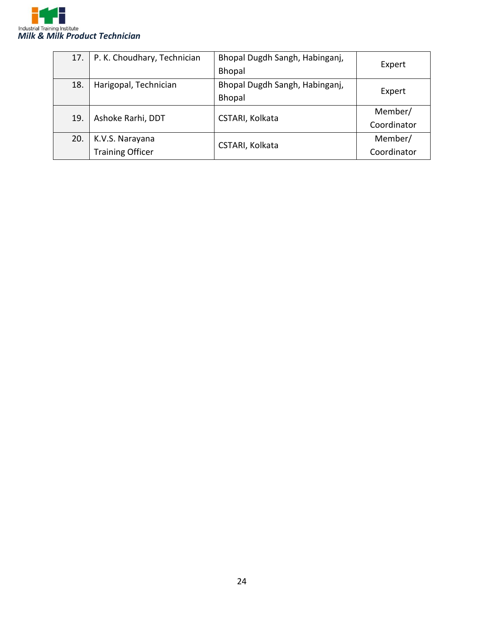

|     | 17.   P. K. Choudhary, Technician | Bhopal Dugdh Sangh, Habinganj, |             |
|-----|-----------------------------------|--------------------------------|-------------|
|     |                                   | Bhopal                         | Expert      |
| 18. | Harigopal, Technician             | Bhopal Dugdh Sangh, Habinganj, | Expert      |
|     |                                   | <b>Bhopal</b>                  |             |
| 19. | Ashoke Rarhi, DDT                 | CSTARI, Kolkata                | Member/     |
|     |                                   |                                | Coordinator |
| 20. | K.V.S. Narayana                   |                                | Member/     |
|     | <b>Training Officer</b>           | CSTARI, Kolkata                | Coordinator |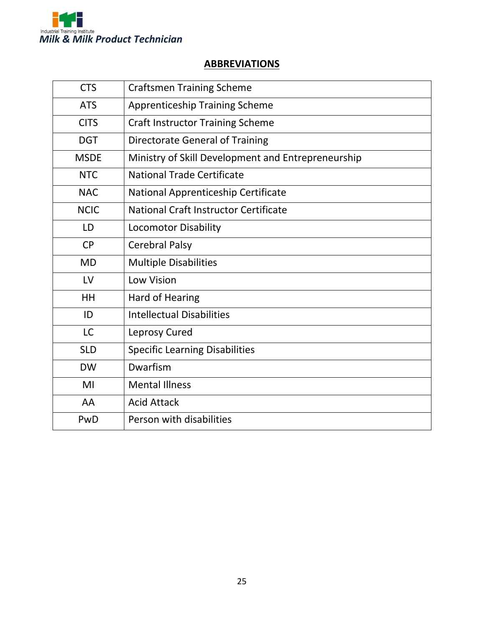

#### **ABBREVIATIONS**

| <b>CTS</b>  | <b>Craftsmen Training Scheme</b>                   |
|-------------|----------------------------------------------------|
| <b>ATS</b>  | <b>Apprenticeship Training Scheme</b>              |
| <b>CITS</b> | <b>Craft Instructor Training Scheme</b>            |
| <b>DGT</b>  | <b>Directorate General of Training</b>             |
| <b>MSDE</b> | Ministry of Skill Development and Entrepreneurship |
| <b>NTC</b>  | <b>National Trade Certificate</b>                  |
| <b>NAC</b>  | National Apprenticeship Certificate                |
| <b>NCIC</b> | National Craft Instructor Certificate              |
| LD          | <b>Locomotor Disability</b>                        |
| <b>CP</b>   | <b>Cerebral Palsy</b>                              |
| <b>MD</b>   | <b>Multiple Disabilities</b>                       |
| LV          | <b>Low Vision</b>                                  |
| HH          | Hard of Hearing                                    |
| ID          | <b>Intellectual Disabilities</b>                   |
| <b>LC</b>   | Leprosy Cured                                      |
| <b>SLD</b>  | <b>Specific Learning Disabilities</b>              |
| <b>DW</b>   | Dwarfism                                           |
| MI          | <b>Mental Illness</b>                              |
| AA          | <b>Acid Attack</b>                                 |
| PwD         | Person with disabilities                           |